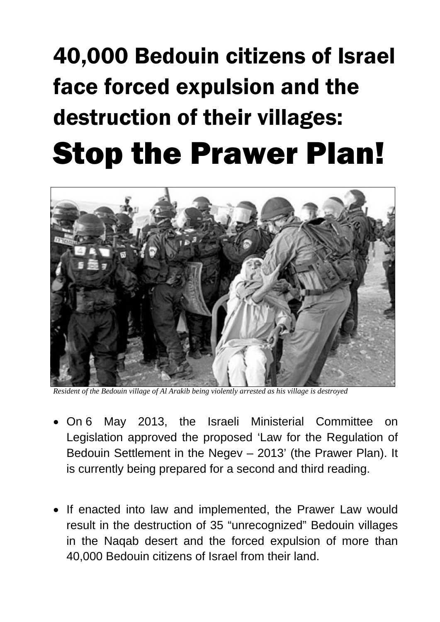## 40,000 Bedouin citizens of Israel face forced expulsion and the destruction of their villages: Stop the Prawer Plan!



*Resident of the Bedouin village of Al Arakib being violently arrested as his village is destroyed*

- On 6 May 2013, the Israeli Ministerial Committee on Legislation approved the proposed 'Law for the Regulation of Bedouin Settlement in the Negev – 2013' (the Prawer Plan). It is currently being prepared for a second and third reading.
- If enacted into law and implemented, the Prawer Law would result in the destruction of 35 "unrecognized" Bedouin villages in the Naqab desert and the forced expulsion of more than 40,000 Bedouin citizens of Israel from their land.